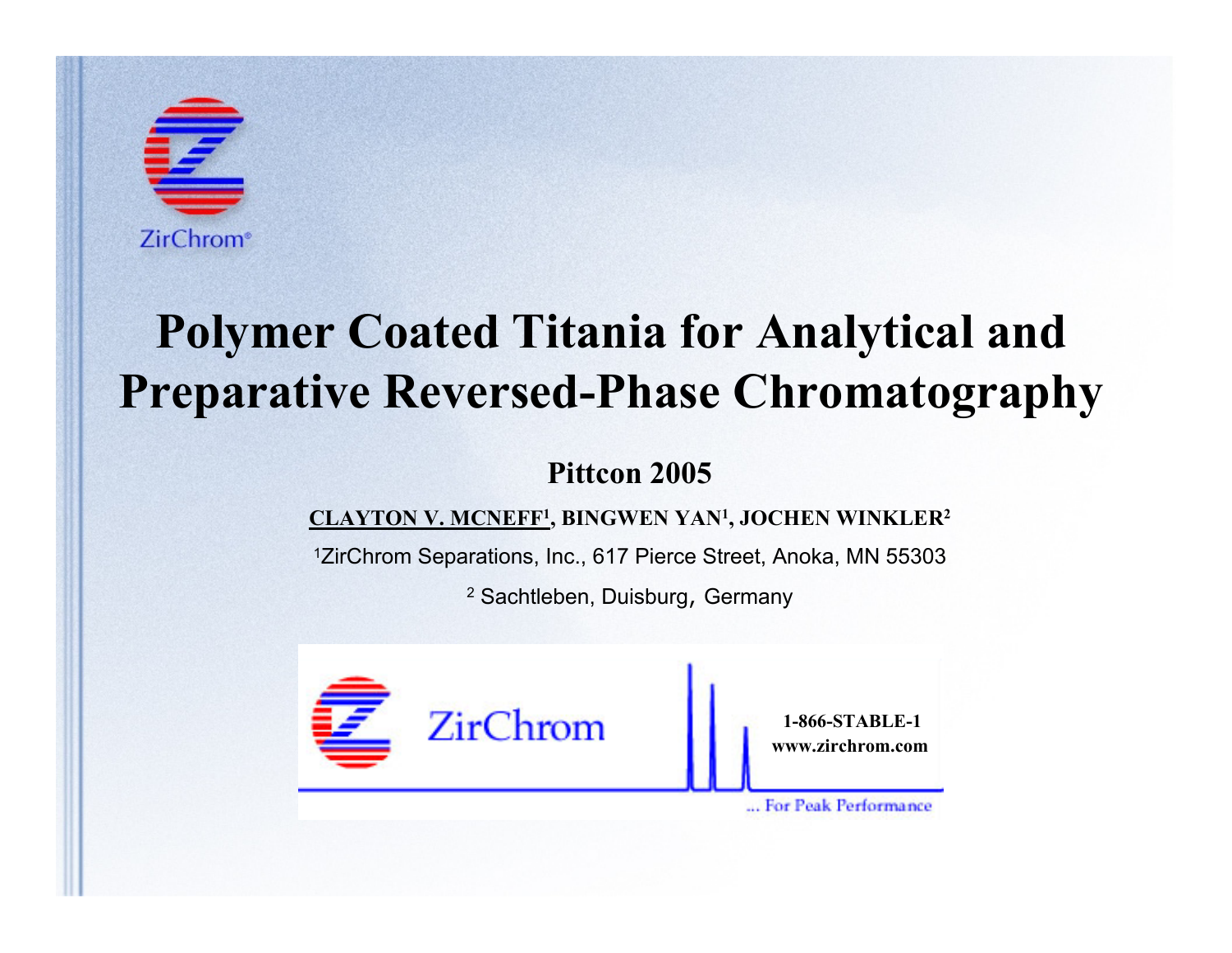

### **Polymer Coated Titania for Analytical and Preparative Reversed-Phase Chromatography**

#### **Pittcon 2005**

**CLAYTON V. MCNEFF1, BINGWEN YAN1, JOCHEN WINKLER2**

1ZirChrom Separations, Inc., 617 Pierce Street, Anoka, MN 55303

<sup>2</sup> Sachtleben, Duisburg, Germany

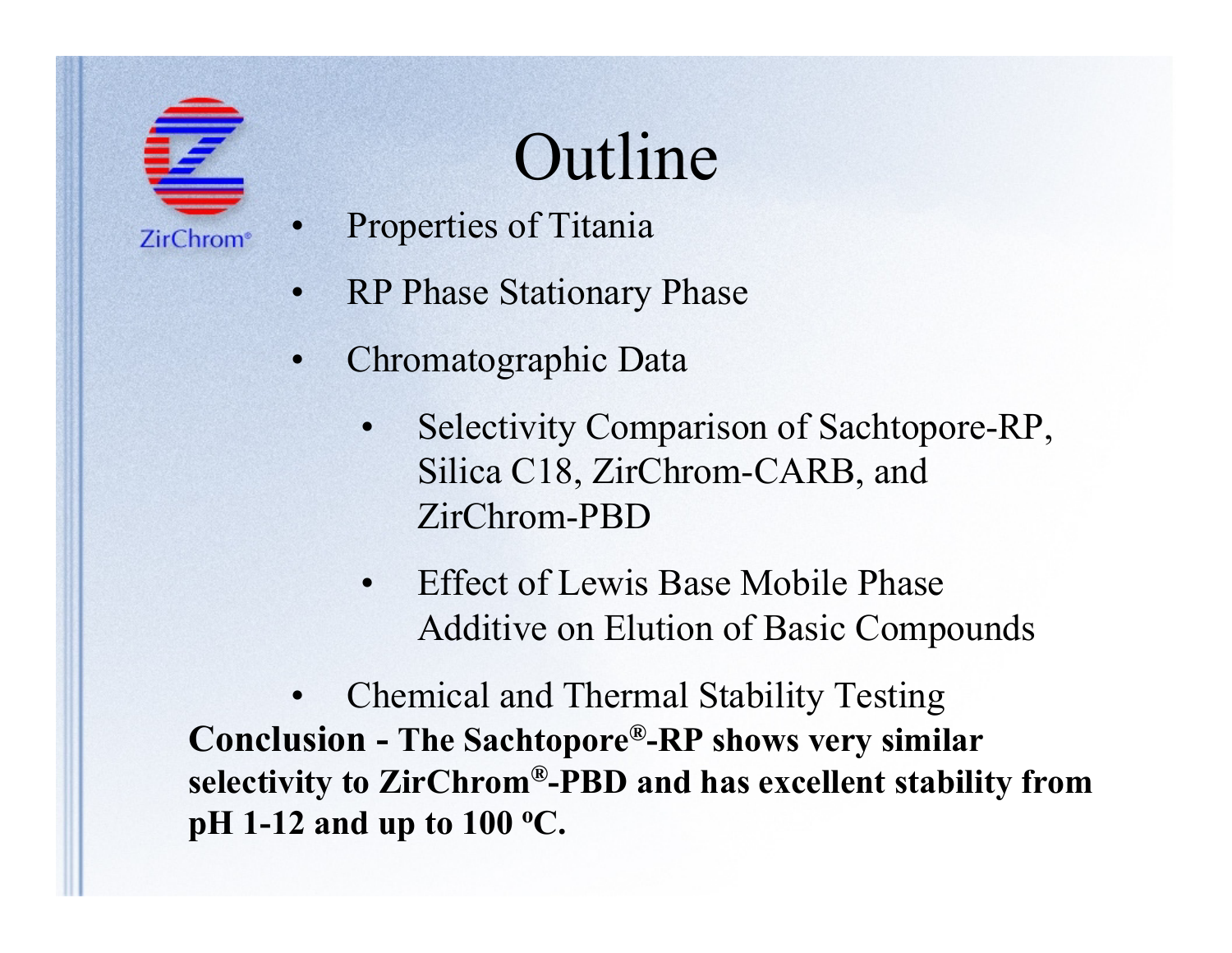

•

# Outline

- Properties of Titania
- •RP Phase Stationary Phase
- • Chromatographic Data
	- $\bullet$  Selectivity Comparison of Sachtopore-RP, Silica C18, ZirChrom-CARB, and ZirChrom-PBD
	- $\bullet$  Effect of Lewis Base Mobile Phase Additive on Elution of Basic Compounds

• Chemical and Thermal Stability Testing **Conclusion - The Sachtopore®-RP shows very similar selectivity to ZirChrom®-PBD and has excellent stability from pH 1-12 and up to 100 oC.**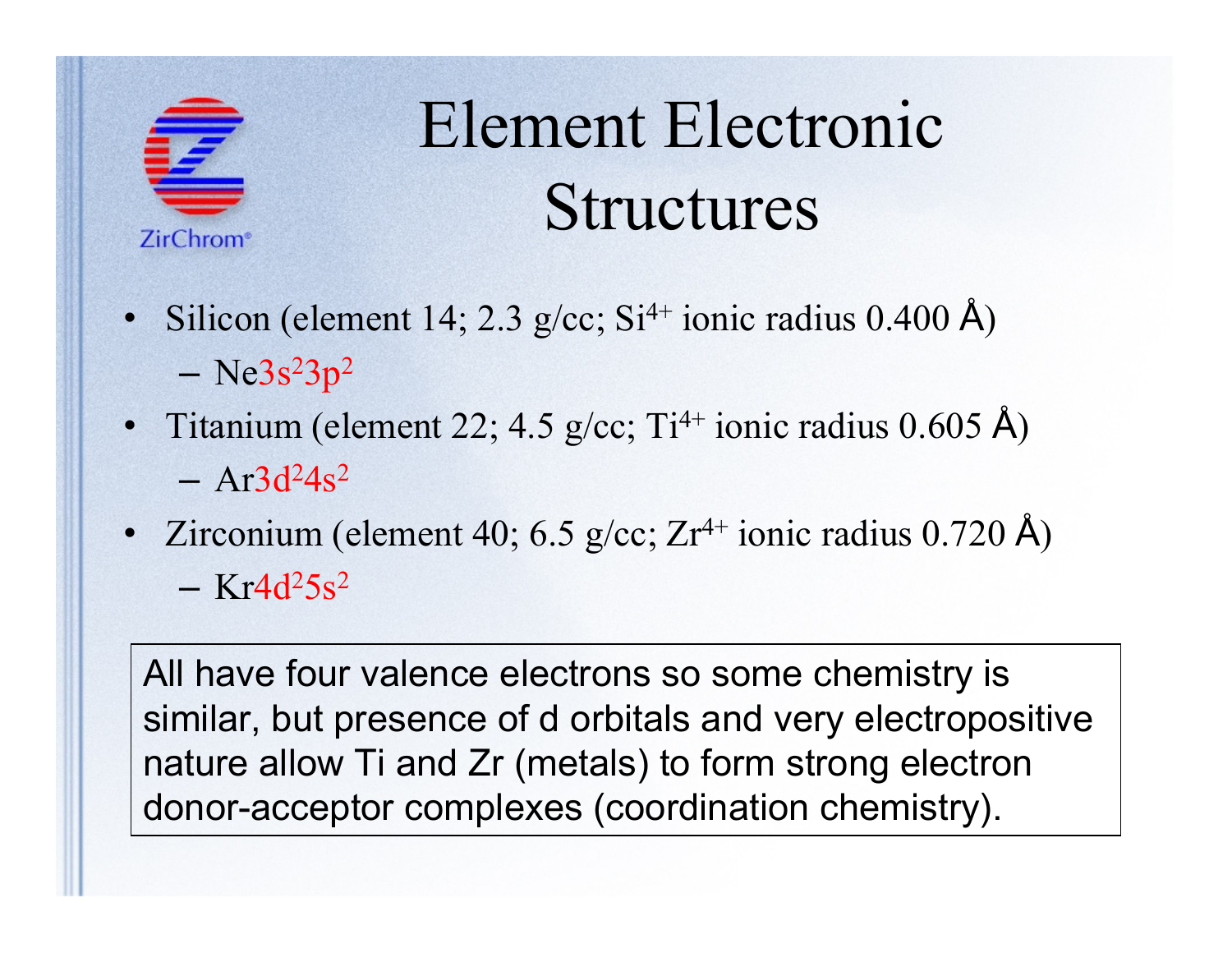

# Element Electronic Structures

- Silicon (element 14; 2.3 g/cc;  $Si<sup>4+</sup>$  ionic radius 0.400 Å)  $-$  Ne3s<sup>2</sup>3p<sup>2</sup>
- Titanium (element 22; 4.5 g/cc; Ti<sup>4+</sup> ionic radius  $0.605 \text{ Å}$ )  $- Ar3d<sup>2</sup>4s<sup>2</sup>$
- Zirconium (element 40; 6.5 g/cc;  $Zr^{4+}$  ionic radius 0.720 Å)  $- Kr4d^25s^2$

All have four valence electrons so some chemistry is similar, but presence of d orbitals and very electropositive nature allow Ti and Zr (metals) to form strong electron donor-acceptor complexes (coordination chemistry).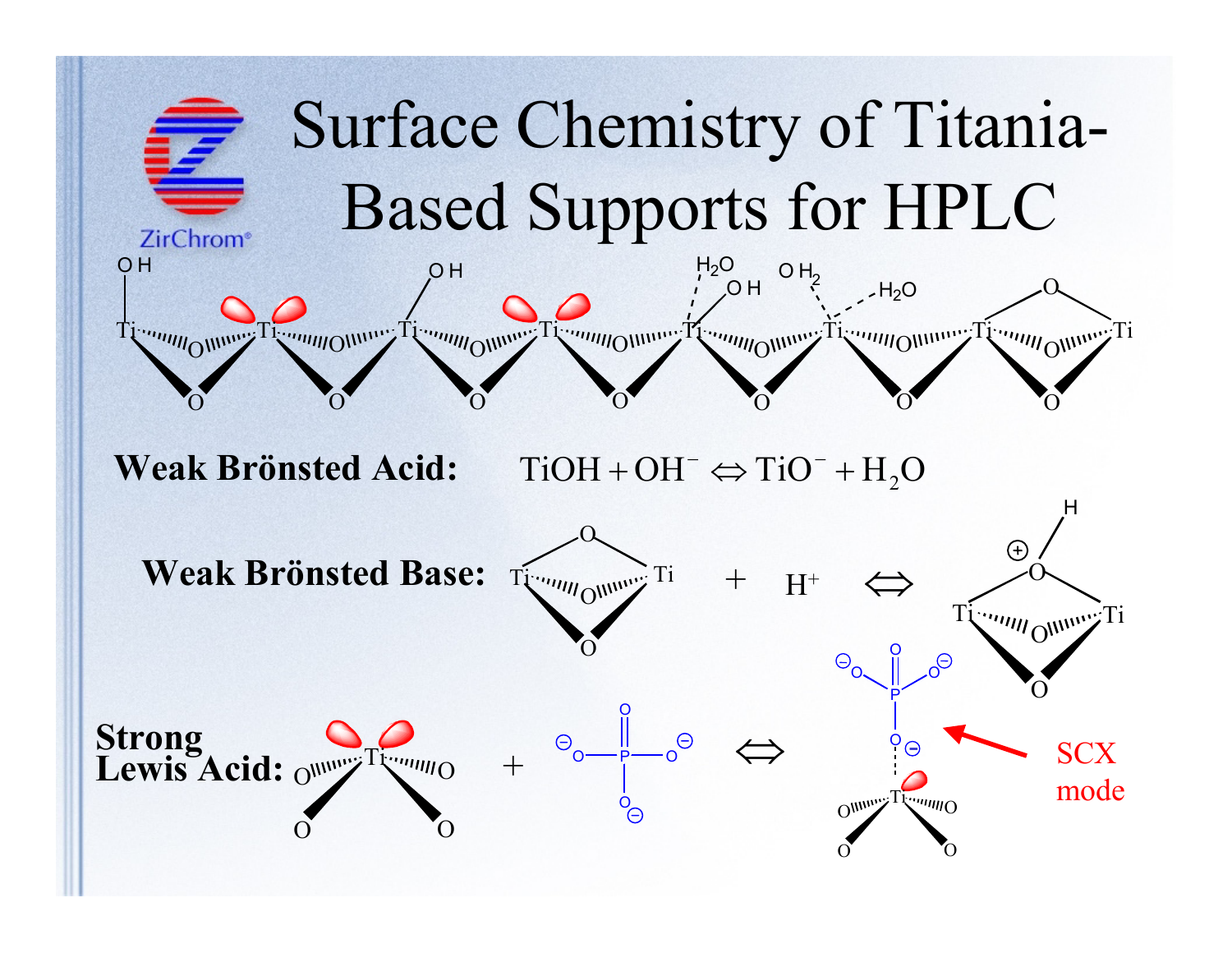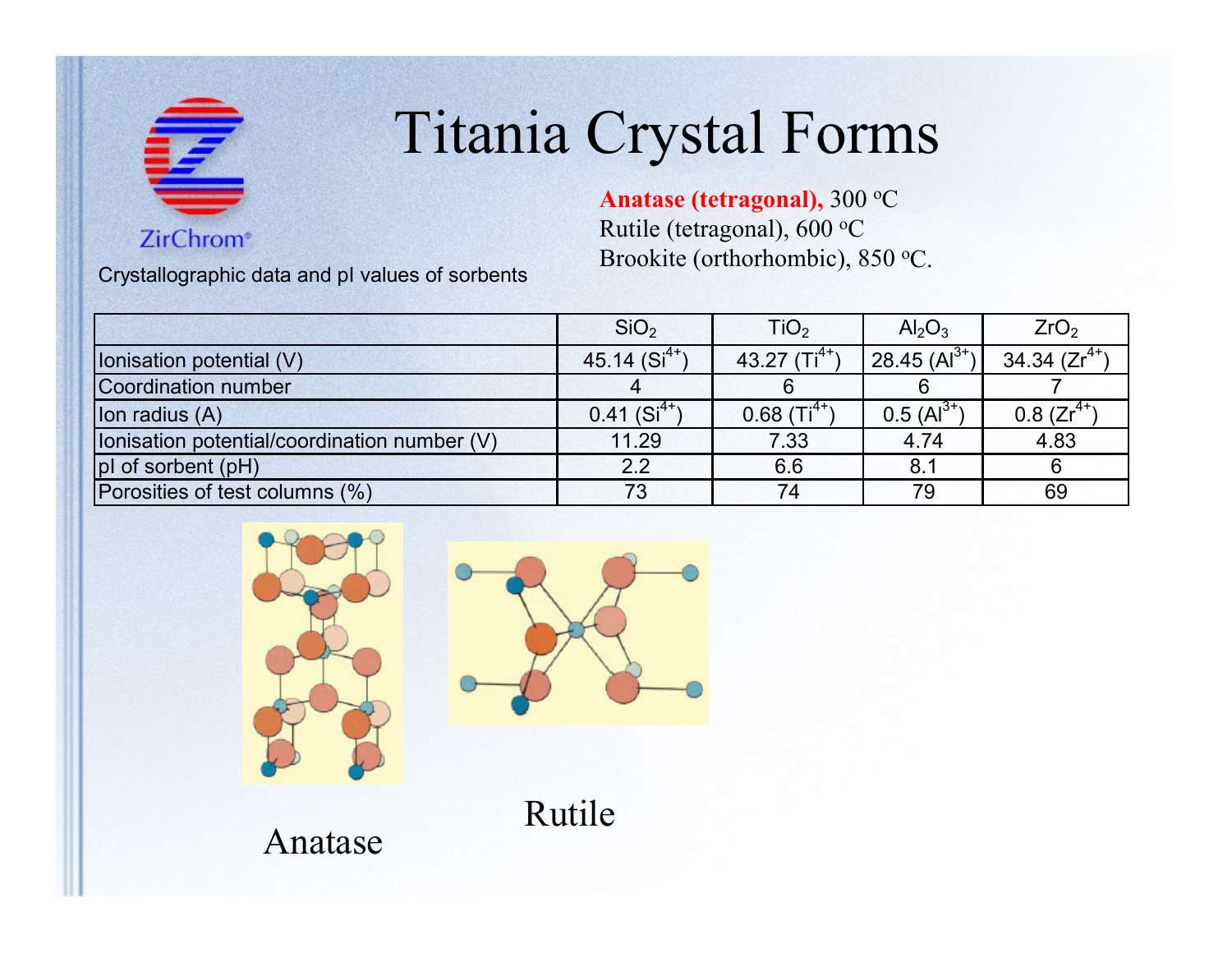

## Titania Crystal Forms

**ZirChrom®** 

Crystallographic data and pI values of sorbents

**Anatase (tetragonal),** 300 °C Rutile (tetragonal), 600 °C Brookite (orthorhombic), 850 °C.

|                                              | SiO <sub>2</sub> | TiO <sub>2</sub>           | $Al_2O_3$               | ZrO <sub>2</sub>  |
|----------------------------------------------|------------------|----------------------------|-------------------------|-------------------|
| (Ionisation potential (V)                    | 45.14 $(Si^{4+}$ | 43.27 $(Ti^{4+})$          | 28.45 $(AI^{3+})$       | 34.34 $(Zr^{4+})$ |
| Coordination number                          |                  |                            |                         |                   |
| Ion radius (A)                               | $0.41(Si^{4+})$  | $0.68$ (Ti <sup>4+</sup> ) | $0.5$ (Al <sup>3+</sup> | $0.8$ ( $Zr^4$ )  |
| Ionisation potential/coordination number (V) | 11.29            | 7.33                       | 4.74                    | 4.83              |
| pl of sorbent (pH)                           | 2.2              | 6.6                        | 8.1                     | 6                 |
| Porosities of test columns (%)               | 73               | 74                         | 79                      | 69                |



Anatase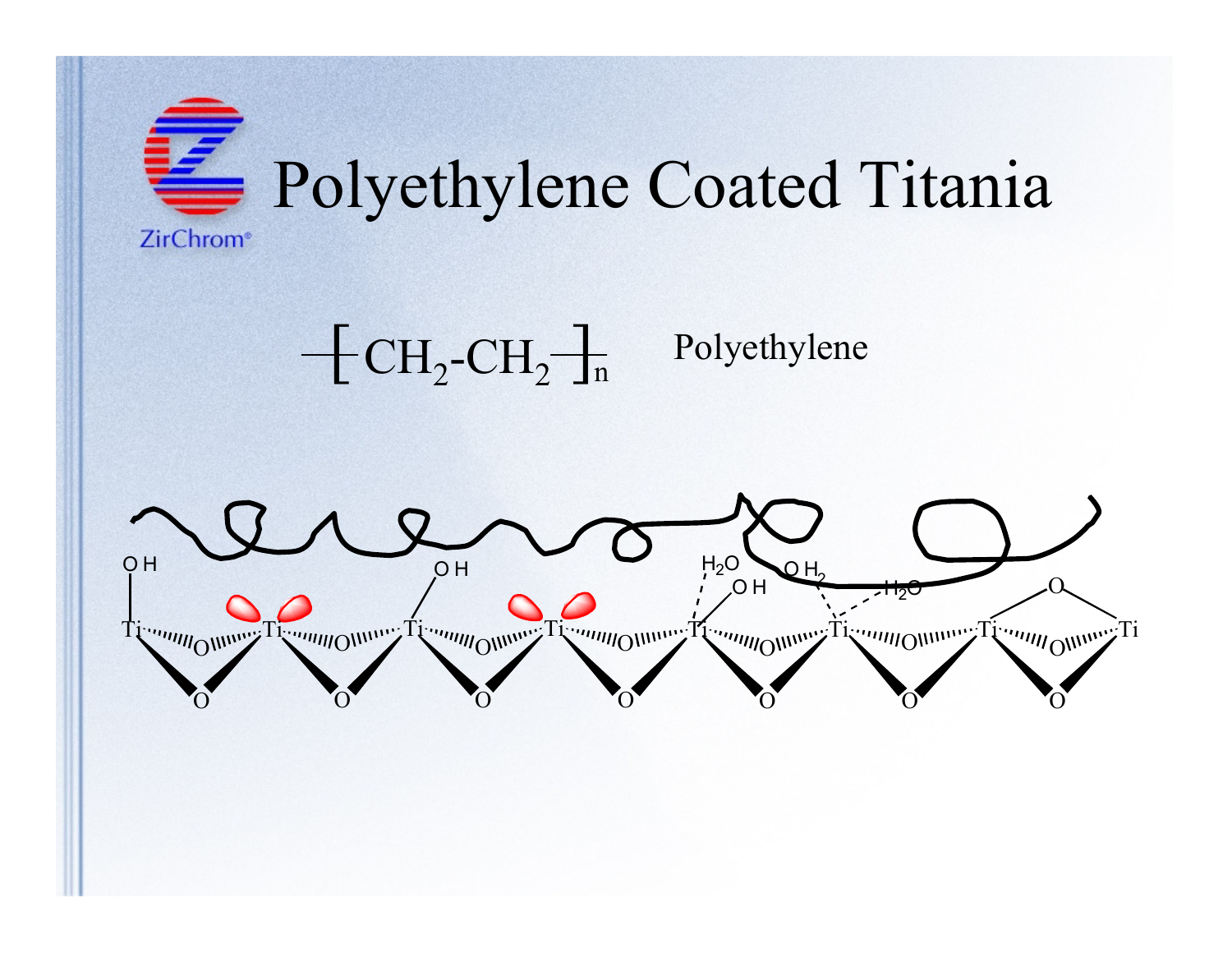

 $\left[\text{CH}_2\text{-CH}_2\right]_n$  Polyethylene

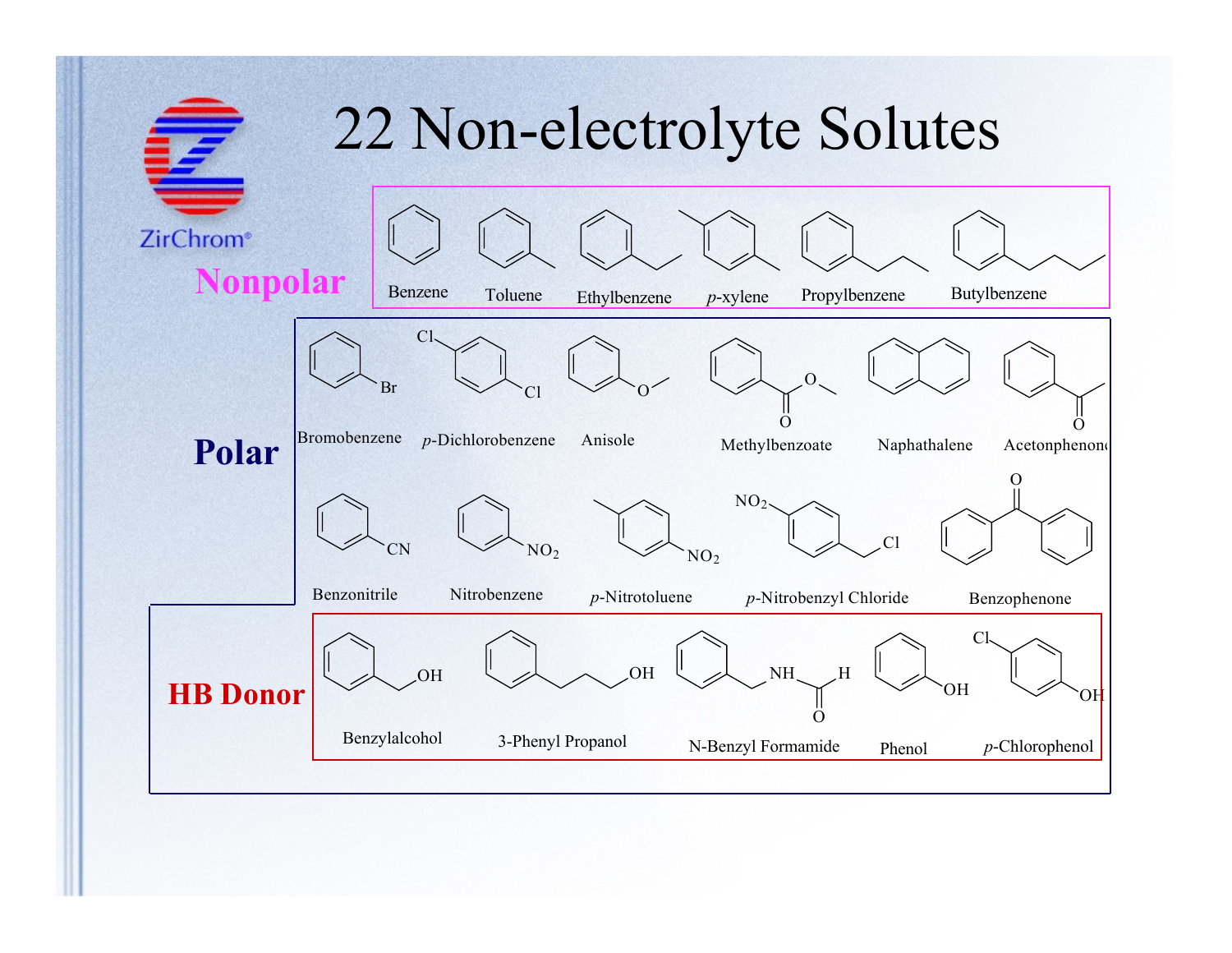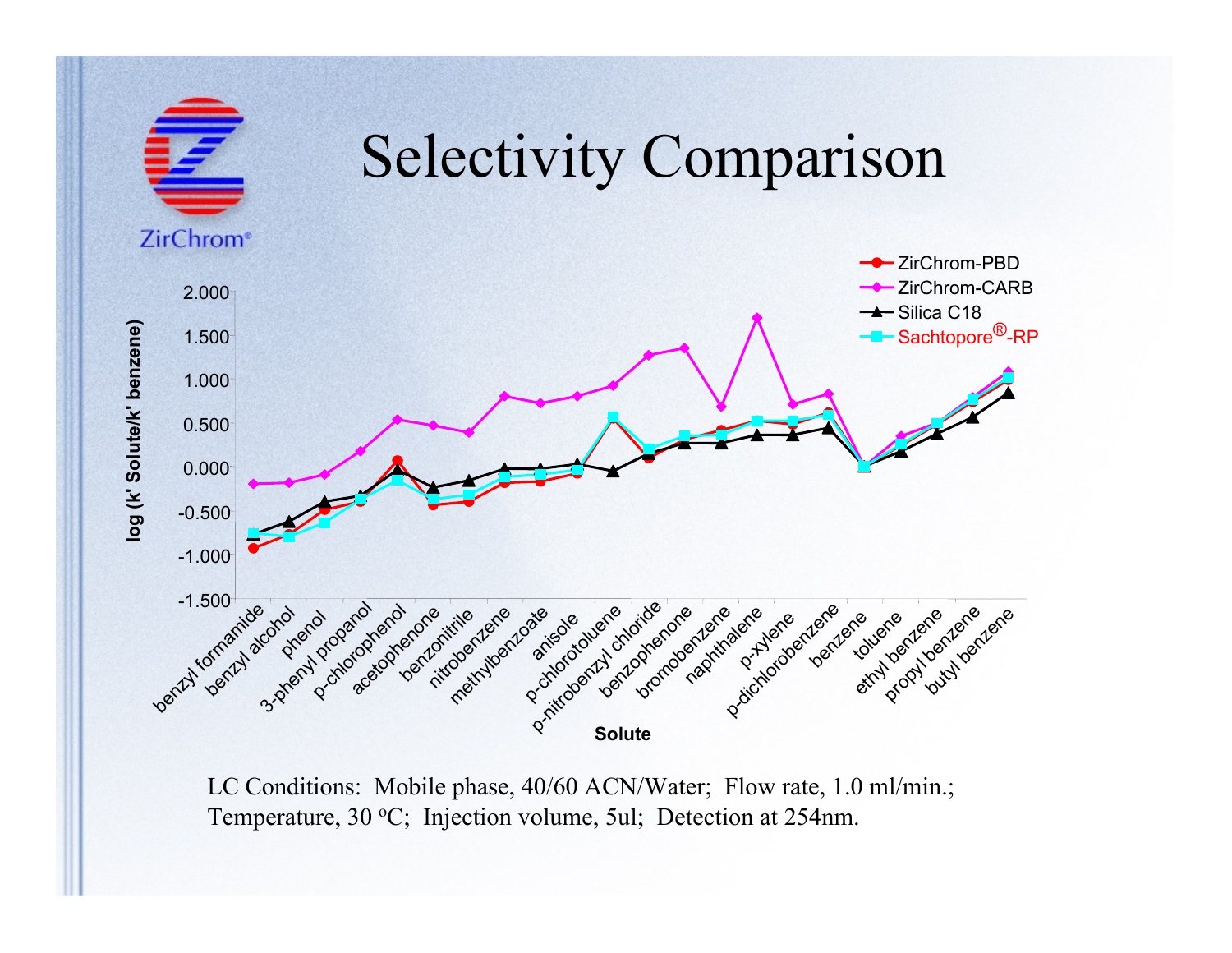

LC Conditions: Mobile phase, 40/60 ACN/Water; Flow rate, 1.0 ml/min.; Temperature, 30 °C; Injection volume, 5ul; Detection at 254nm.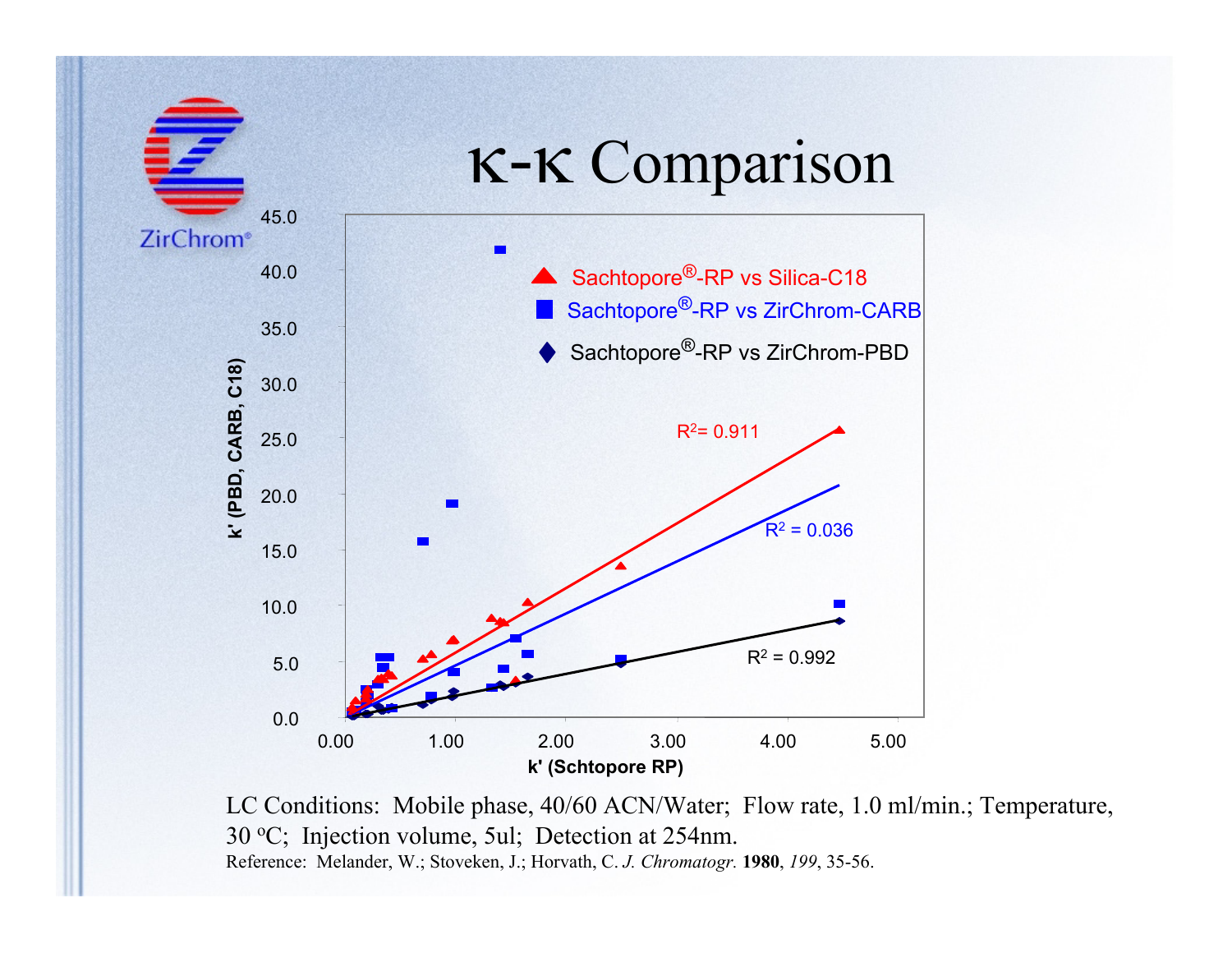

LC Conditions: Mobile phase, 40/60 ACN/Water; Flow rate, 1.0 ml/min.; Temperature, 30 oC; Injection volume, 5ul; Detection at 254nm. Reference: Melander, W.; Stoveken, J.; Horvath, C. *J. Chromatogr.* **1980**, *199*, 35-56.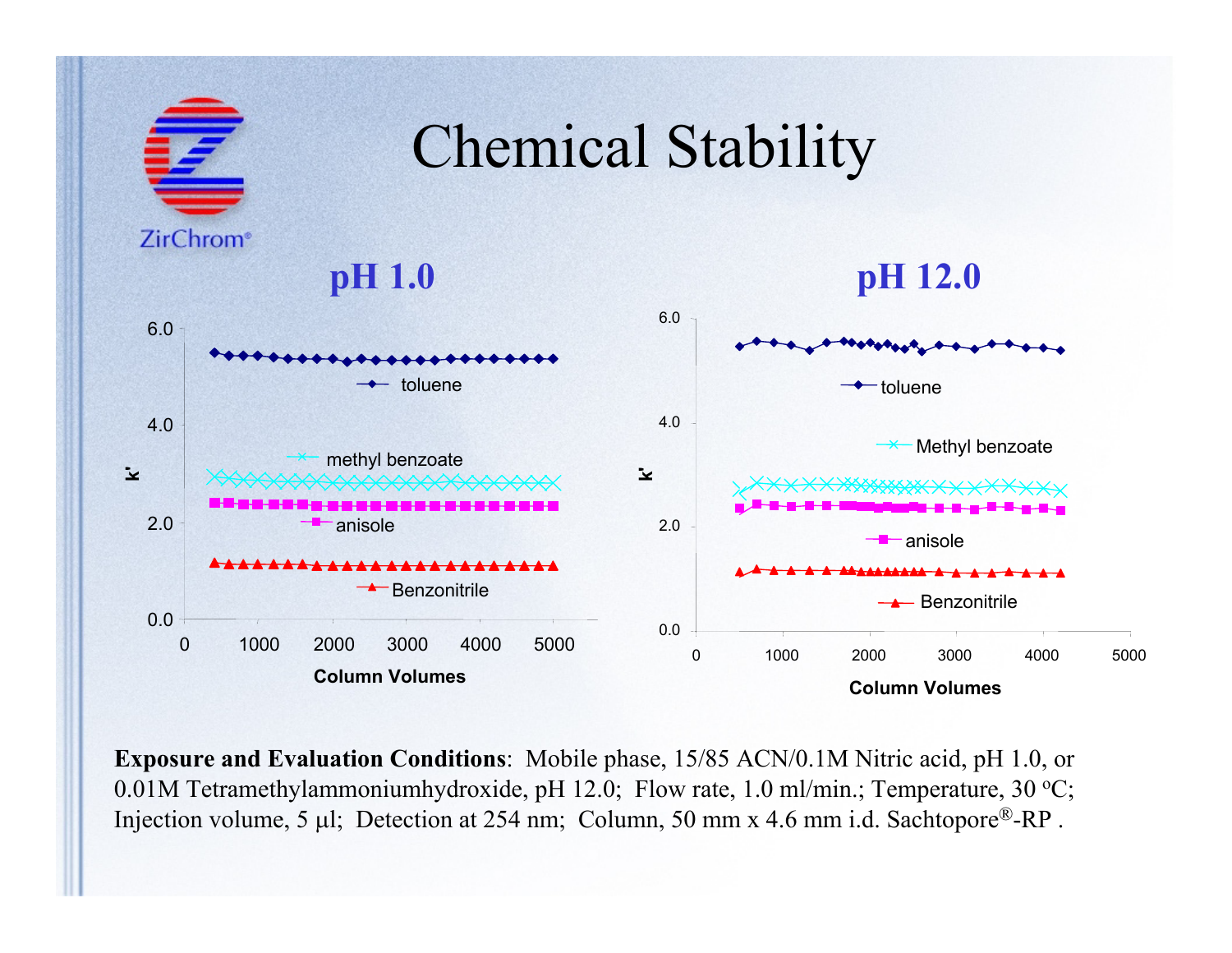

### Chemical Stability

**ZirChrom®** 

#### **pH 1.0**

**pH 12.0**



**Exposure and Evaluation Conditions**: Mobile phase, 15/85 ACN/0.1M Nitric acid, pH 1.0, or 0.01M Tetramethylammoniumhydroxide, pH 12.0; Flow rate, 1.0 ml/min.; Temperature, 30  $\rm{^{\circ}C;}$ Injection volume, 5 µl; Detection at 254 nm; Column, 50 mm x 4.6 mm i.d. Sachtopore<sup>®</sup>-RP.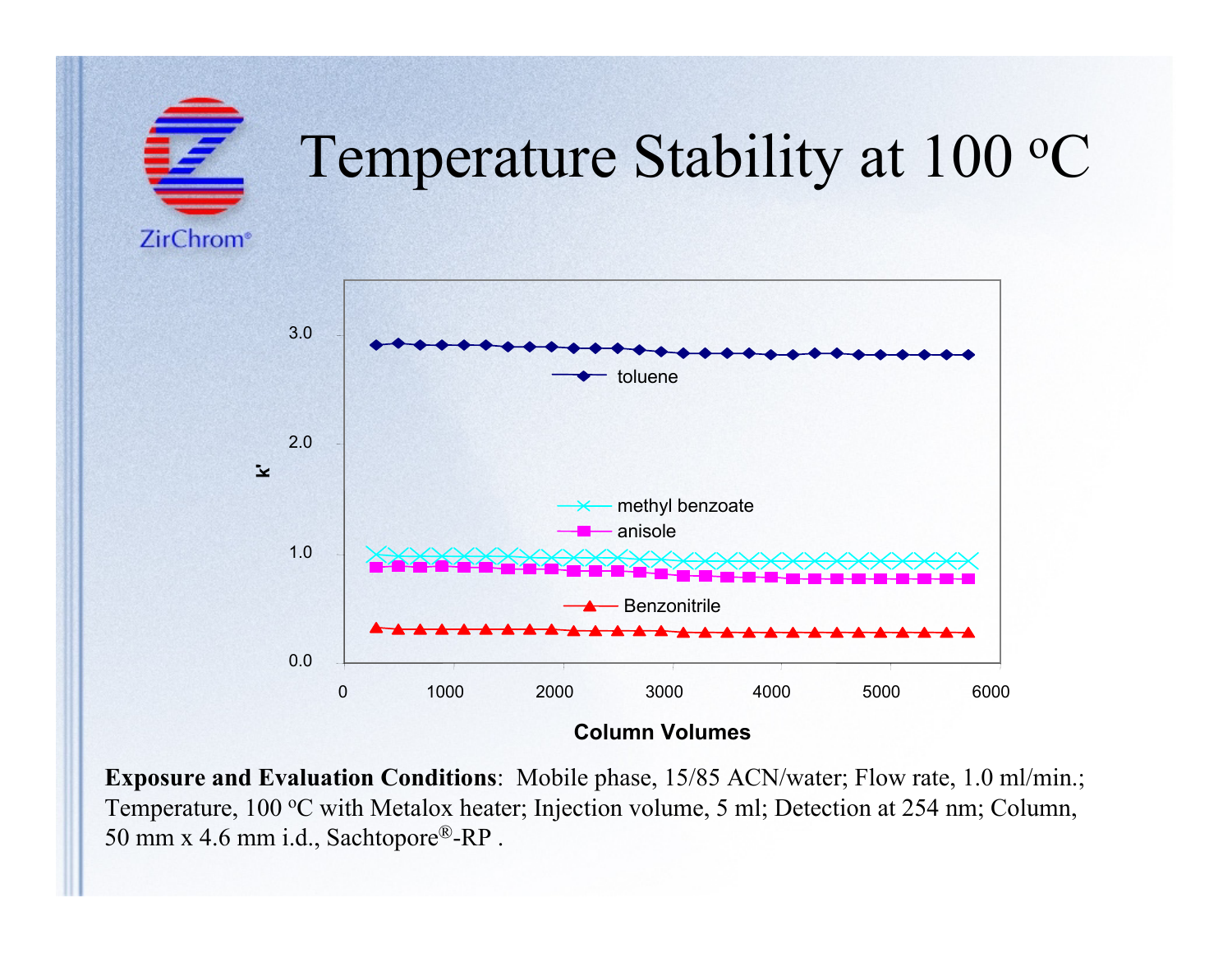

#### Temperature Stability at 100 °  $\boldsymbol{C}$



**Column Volumes**

**Exposure and Evaluation Conditions**: Mobile phase, 15/85 ACN/water; Flow rate, 1.0 ml/min.; Temperature, 100 °C with Metalox heater; Injection volume, 5 ml; Detection at 254 nm; Column, 50 mm x 4.6 mm i.d., Sachtopore ®-RP .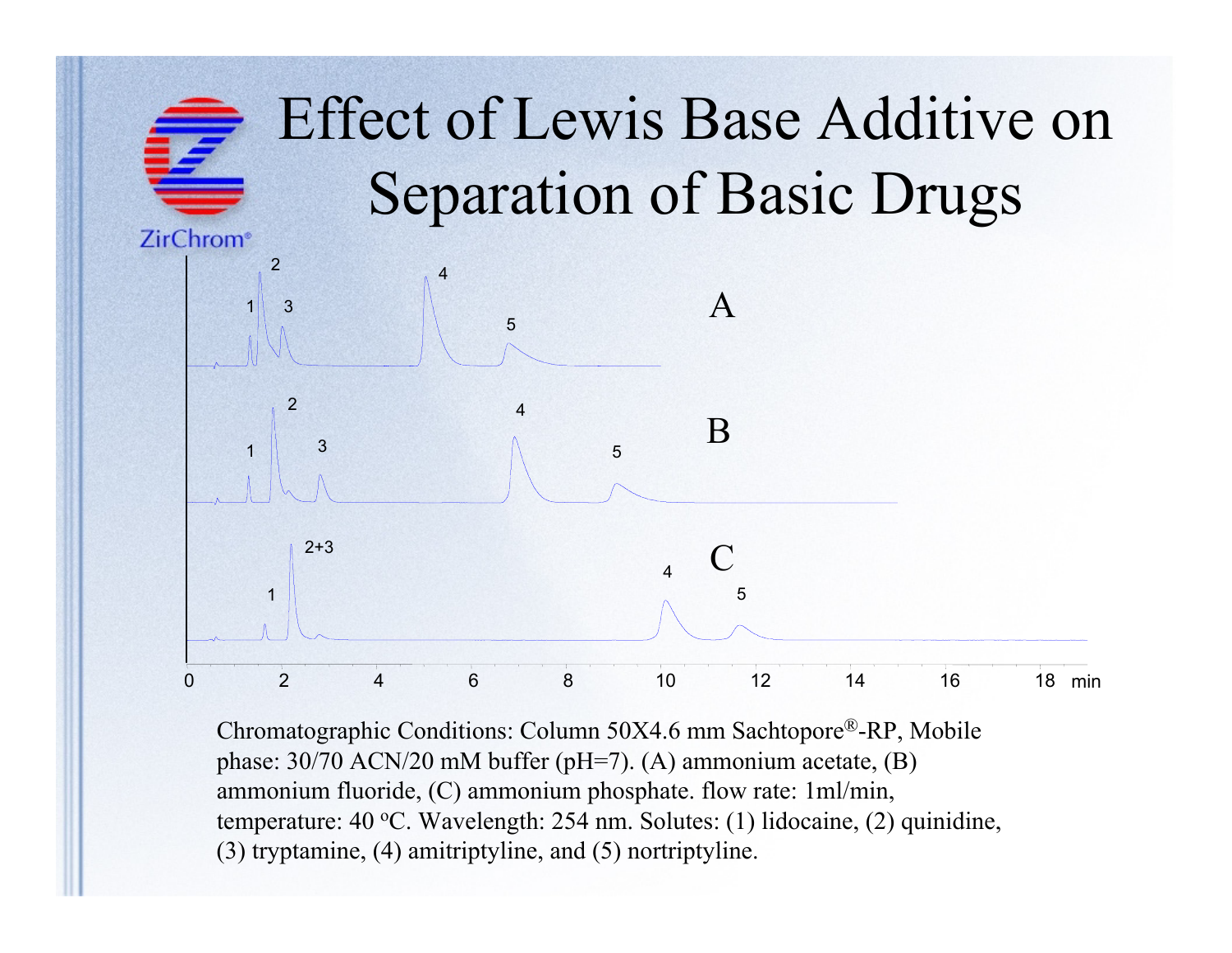

Chromatographic Conditions: Column 50X4.6 mm Sachtopore ®-RP, Mobile phase: 30/70 ACN/20 mM buffer (pH=7). (A) ammonium acetate, (B) ammonium fluoride, (C) ammonium phosphate. flow rate: 1ml/min, temperature: 40 °C. Wavelength: 254 nm. Solutes: (1) lidocaine, (2) quinidine, (3) tryptamine, (4) amitriptyline, and (5) nortriptyline.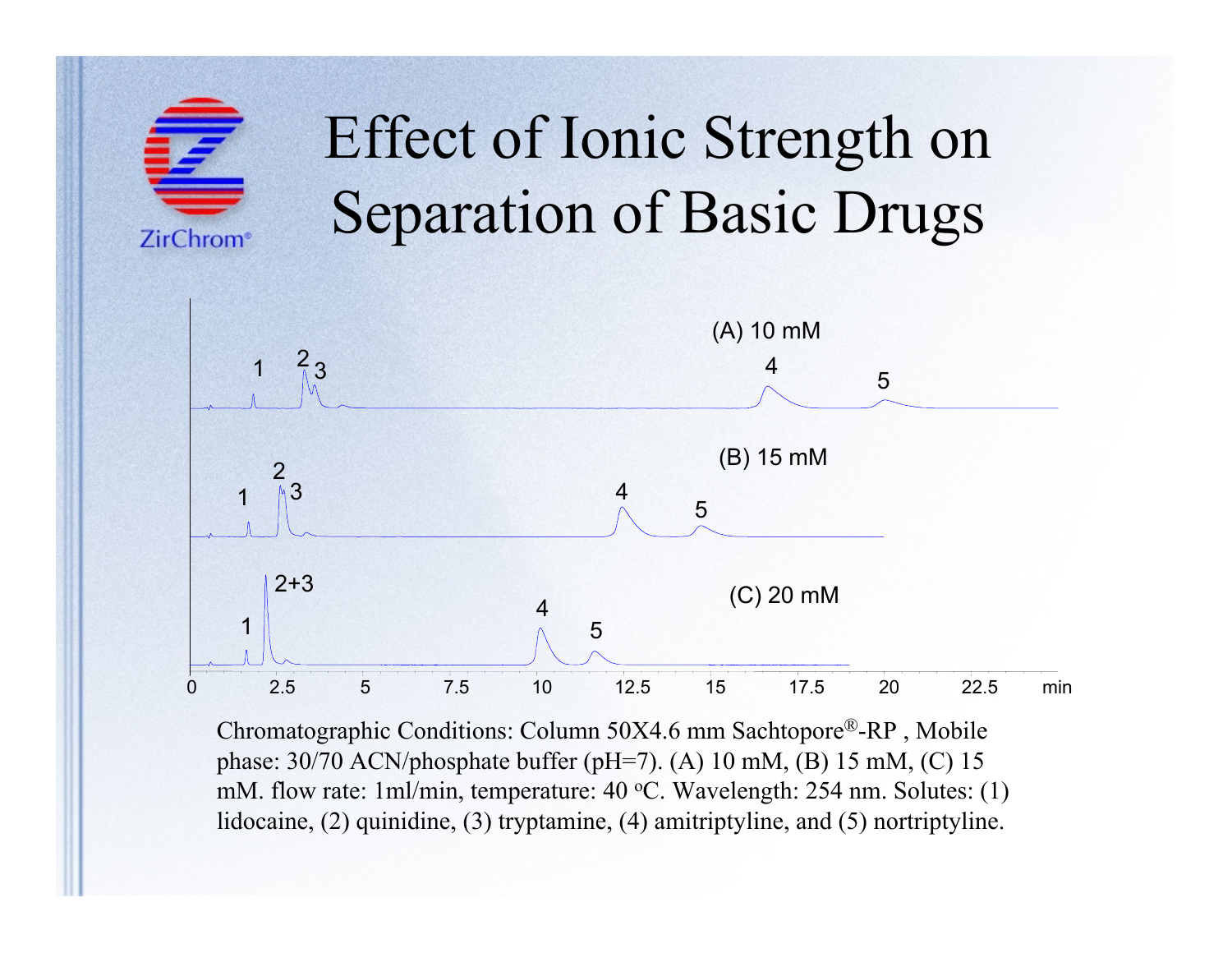

## Effect of Ionic Strength on Separation of Basic Drugs



Chromatographic Conditions: Column 50X4.6 mm Sachtopore ®-RP , Mobile phase: 30/70 ACN/phosphate buffer (pH=7). (A) 10 mM, (B) 15 mM, (C) 15 mM. flow rate: 1ml/min, temperature: 40 °C. Wavelength: 254 nm. Solutes: (1) lidocaine, (2) quinidine, (3) tryptamine, (4) amitriptyline, and (5) nortriptyline.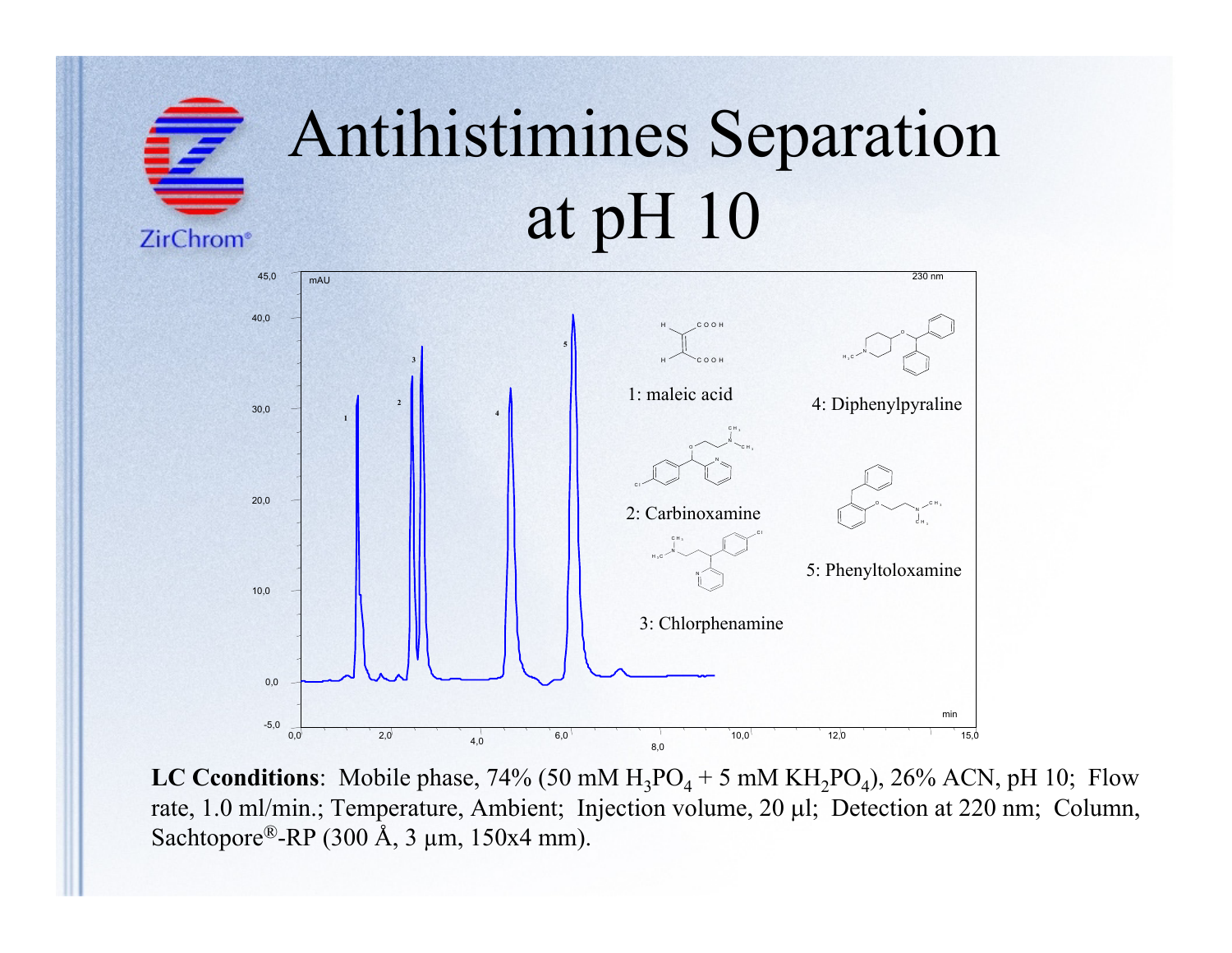

# Antihistimines Separation at pH 10



**LC Cconditions**: Mobile phase,  $74\%$  (50 mM  $H_3PO_4 + 5$  mM  $KH_2PO_4$ ),  $26\%$  ACN, pH 10; Flow rate, 1.0 ml/min.; Temperature, Ambient; Injection volume, 20 µl; Detection at 220 nm; Column, Sachtopore ®-RP (300 Å, 3 µm, 150x4 mm).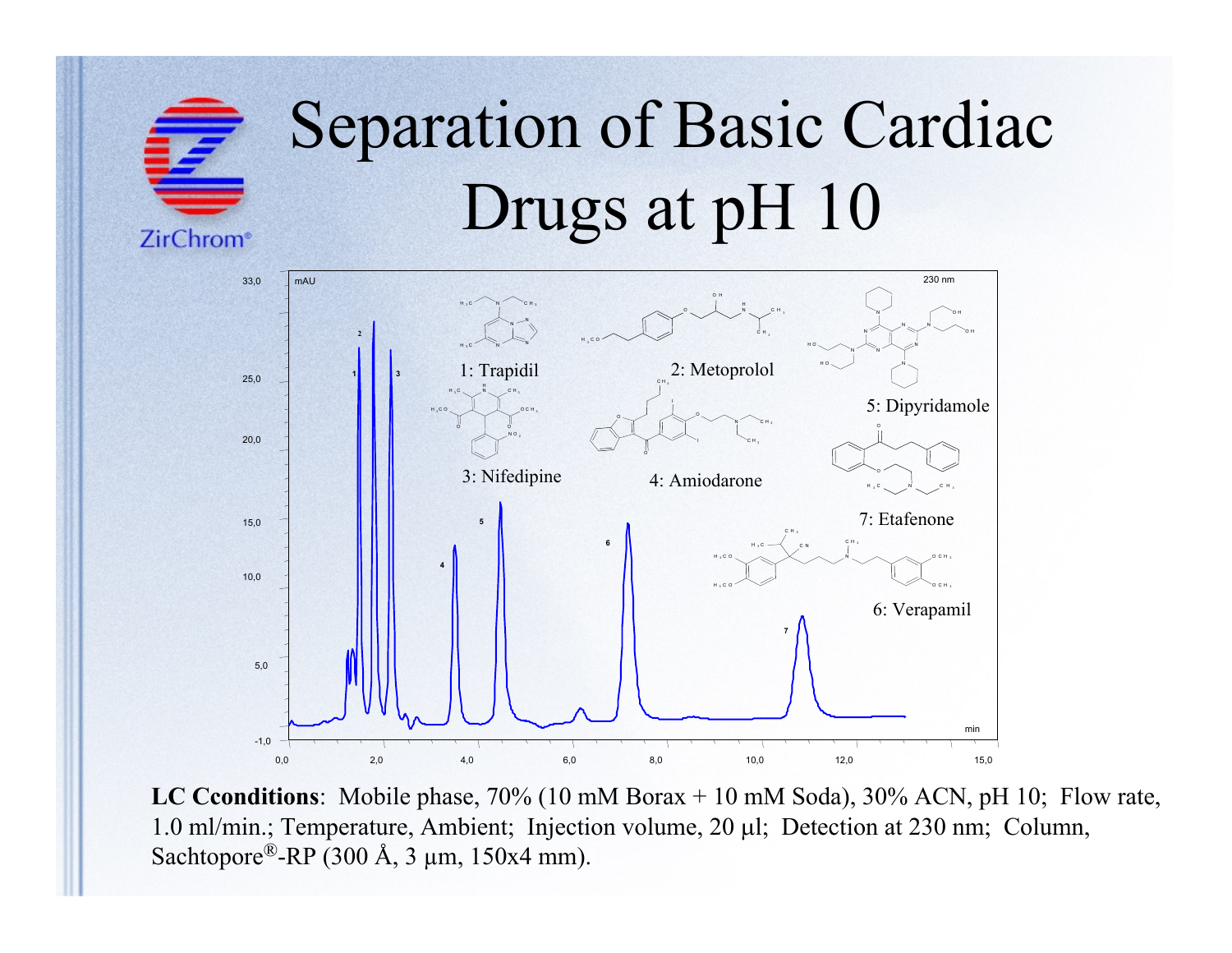### Separation of Basic Cardiac Drugs at pH 10 **ZirChrom®**



**LC Cconditions**: Mobile phase, 70% (10 mM Borax + 10 mM Soda), 30% ACN, pH 10; Flow rate, 1.0 ml/min.; Temperature, Ambient; Injection volume, 20 µl; Detection at 230 nm; Column, Sachtopore ®-RP (300 Å, 3 µm, 150x4 mm).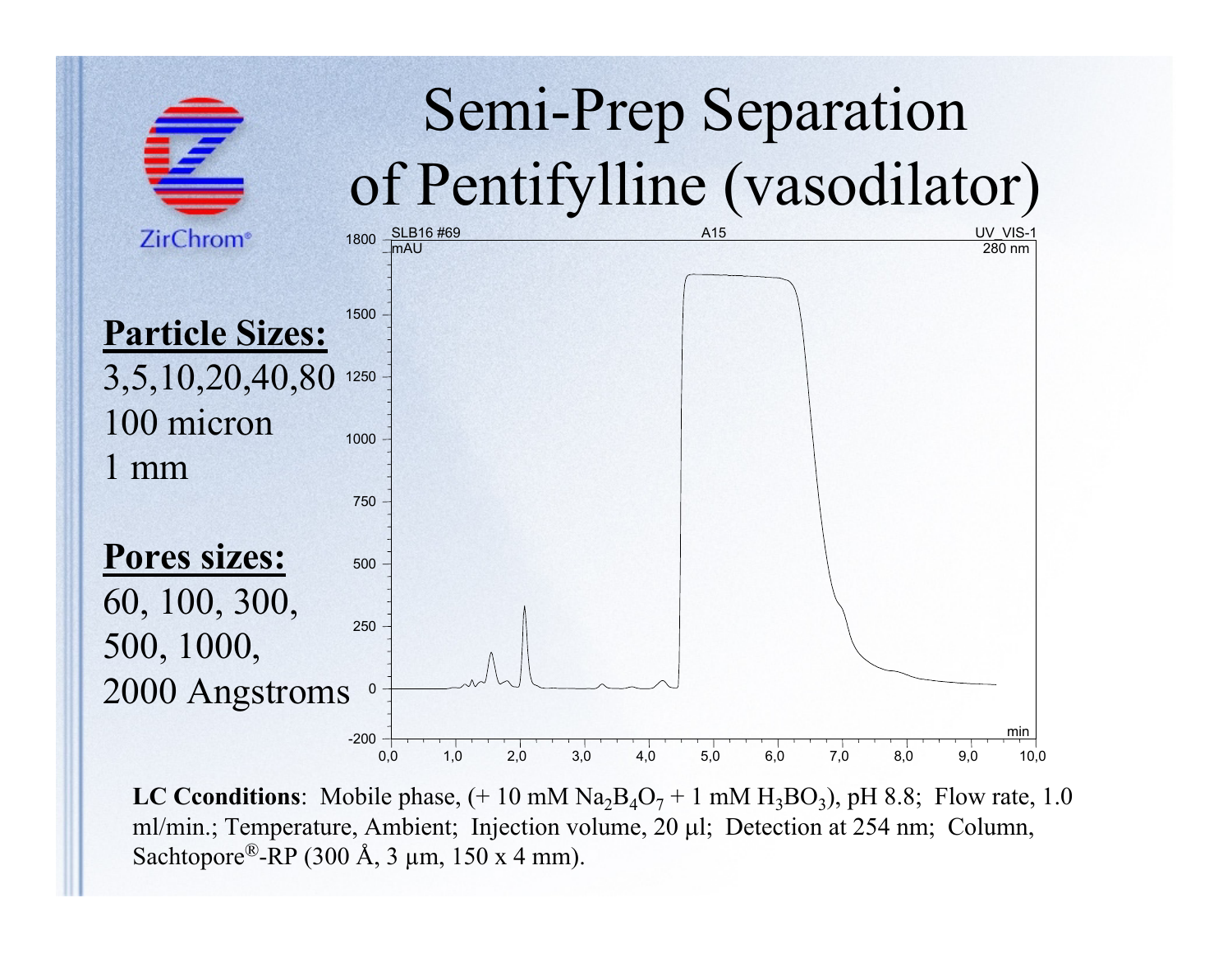

**LC Cconditions**: Mobile phase,  $(+10 \text{ mM } Na<sub>2</sub>B<sub>4</sub>O<sub>7</sub> + 1 \text{ mM } H<sub>3</sub>BO<sub>3</sub>), pH 8.8; Flow rate, 1.0$ ml/min.; Temperature, Ambient; Injection volume, 20 µl; Detection at 254 nm; Column, Sachtopore ®-RP (300 Å, 3 µm, 150 x 4 mm).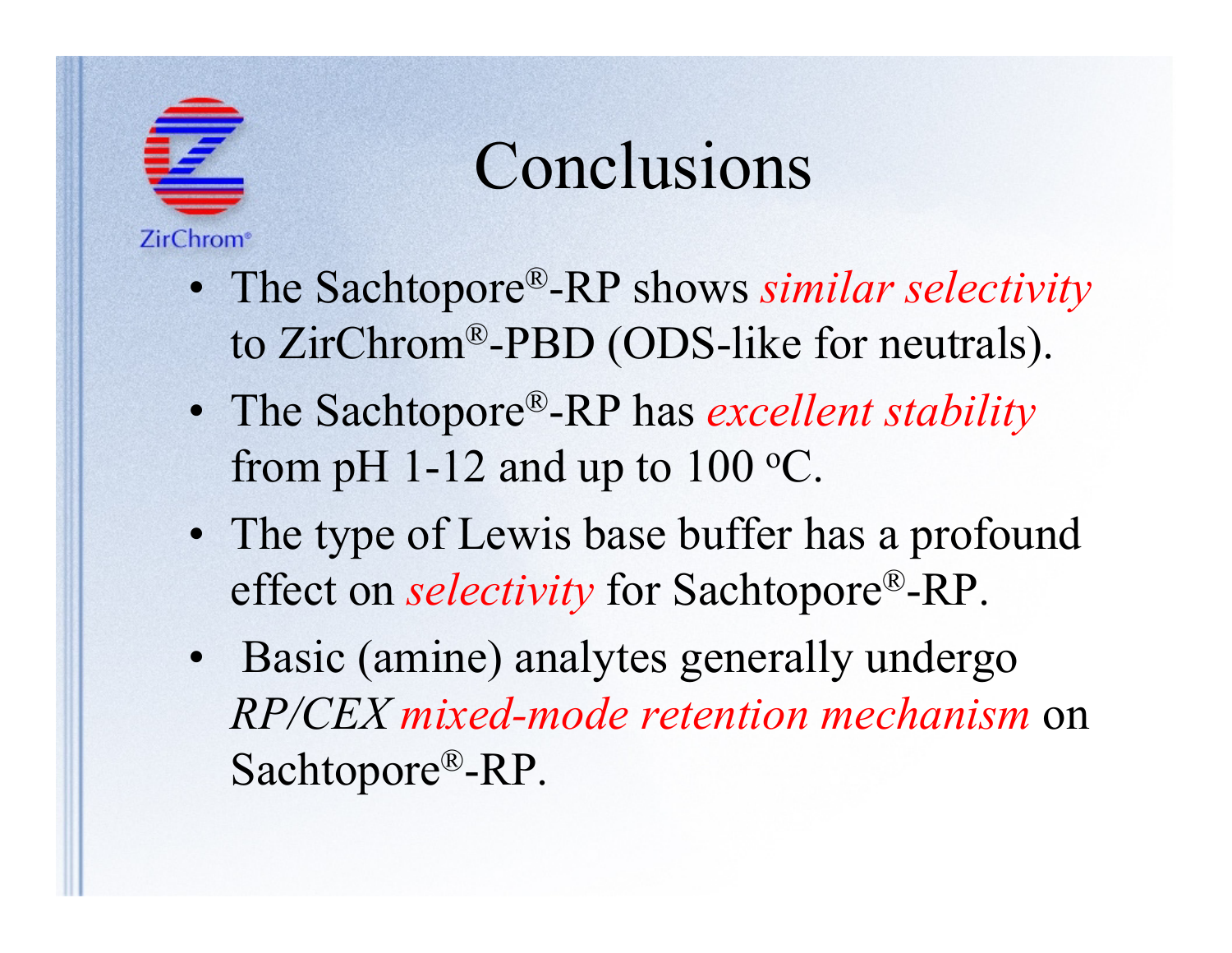

# Conclusions

- The Sachtopore ®-RP shows *similar selectivity* to ZirChrom ®-PBD (ODS-like for neutrals).
- The Sachtopore ®-RP has *excellent stability* from pH 1-12 and up to 100 °C.
- The type of Lewis base buffer has a profound effect on *selectivity* for Sachtopore ®-RP.
- Basic (amine) analytes generally undergo *RP/CEX mixed-mode retention mechanism* on Sachtopore ®-RP.